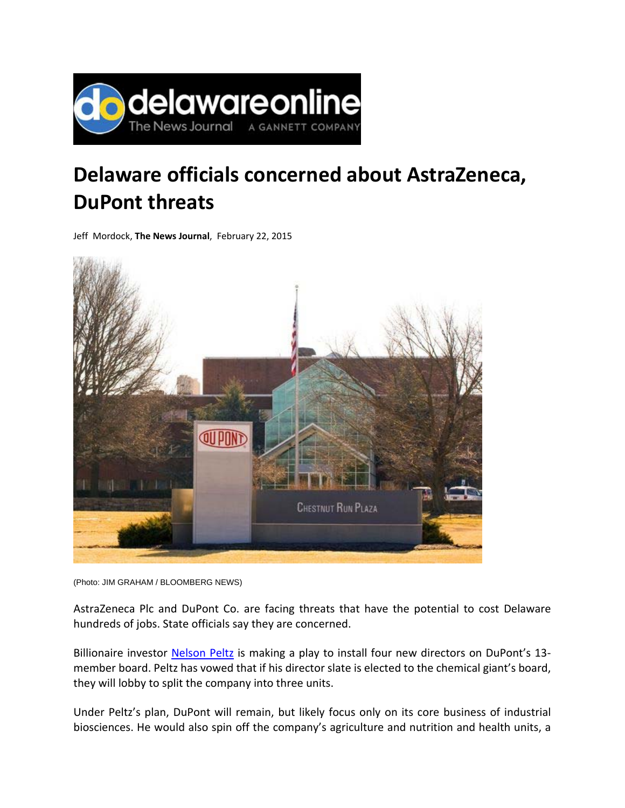

# **Delaware officials concerned about AstraZeneca, DuPont threats**

Jeff Mordock, **The News Journal**, February 22, 2015



(Photo: JIM GRAHAM / BLOOMBERG NEWS)

AstraZeneca Plc and DuPont Co. are facing threats that have the potential to cost Delaware hundreds of jobs. State officials say they are concerned.

Billionaire investor Nelson Peltz is making a play to install four new directors on DuPont's 13member board. Peltz has vowed that if his director slate is elected to the chemical giant's board, they will lobby to split the company into three units.

Under Peltz's plan, DuPont will remain, but likely focus only on its core business of industrial biosciences. He would also spin off the company's agriculture and nutrition and health units, a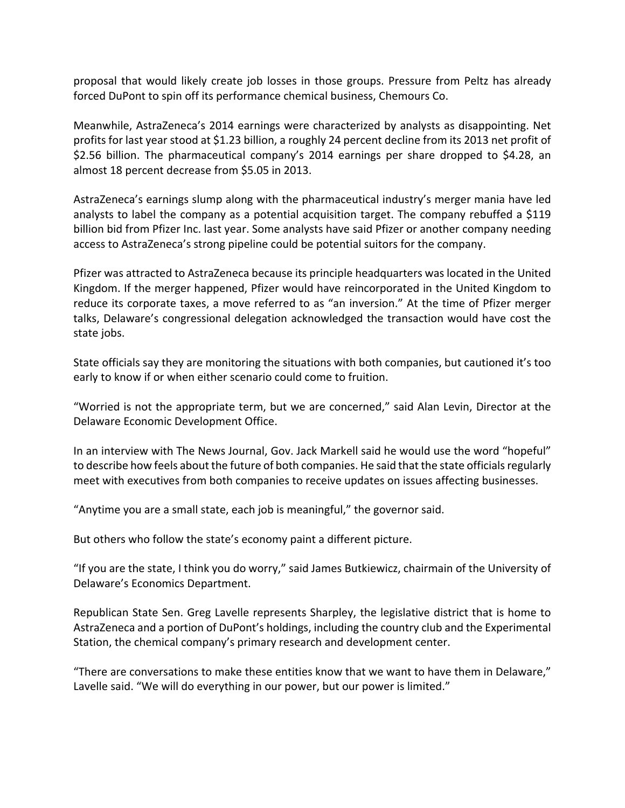proposal that would likely create job losses in those groups. Pressure from Peltz has already forced DuPont to spin off its performance chemical business, Chemours Co.

Meanwhile, AstraZeneca's 2014 earnings were characterized by analysts as disappointing. Net profits for last year stood at \$1.23 billion, a roughly 24 percent decline from its 2013 net profit of \$2.56 billion. The pharmaceutical company's 2014 earnings per share dropped to \$4.28, an almost 18 percent decrease from \$5.05 in 2013.

AstraZeneca's earnings slump along with the pharmaceutical industry's merger mania have led analysts to label the company as a potential acquisition target. The company rebuffed a \$119 billion bid from Pfizer Inc. last year. Some analysts have said Pfizer or another company needing access to AstraZeneca's strong pipeline could be potential suitors for the company.

Pfizer was attracted to AstraZeneca because its principle headquarters was located in the United Kingdom. If the merger happened, Pfizer would have reincorporated in the United Kingdom to reduce its corporate taxes, a move referred to as "an inversion." At the time of Pfizer merger talks, Delaware's congressional delegation acknowledged the transaction would have cost the state jobs.

State officials say they are monitoring the situations with both companies, but cautioned it's too early to know if or when either scenario could come to fruition.

"Worried is not the appropriate term, but we are concerned," said Alan Levin, Director at the Delaware Economic Development Office.

In an interview with The News Journal, Gov. Jack Markell said he would use the word "hopeful" to describe how feels about the future of both companies. He said that the state officials regularly meet with executives from both companies to receive updates on issues affecting businesses.

"Anytime you are a small state, each job is meaningful," the governor said.

But others who follow the state's economy paint a different picture.

"If you are the state, I think you do worry," said James Butkiewicz, chairmain of the University of Delaware's Economics Department.

Republican State Sen. Greg Lavelle represents Sharpley, the legislative district that is home to AstraZeneca and a portion of DuPont's holdings, including the country club and the Experimental Station, the chemical company's primary research and development center.

"There are conversations to make these entities know that we want to have them in Delaware," Lavelle said. "We will do everything in our power, but our power is limited."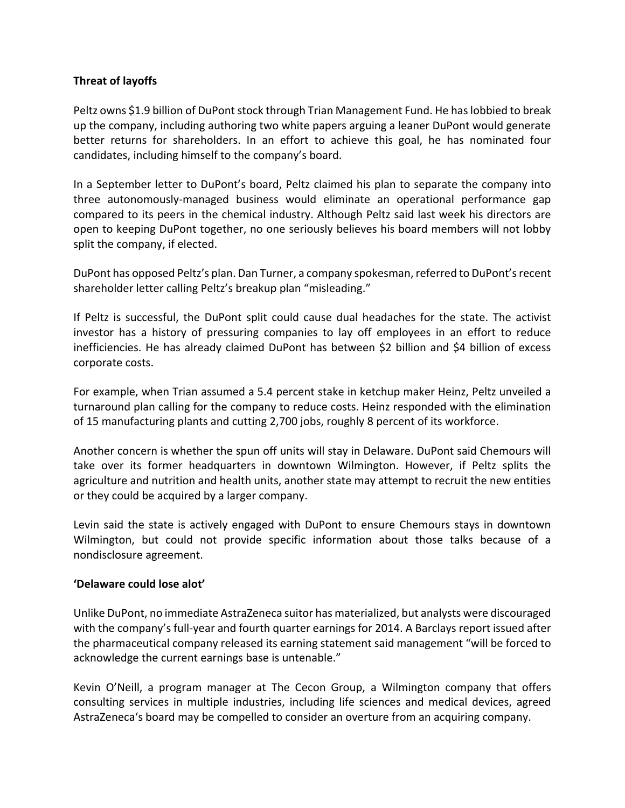## **Threat of layoffs**

Peltz owns \$1.9 billion of DuPont stock through Trian Management Fund. He has lobbied to break up the company, including authoring two white papers arguing a leaner DuPont would generate better returns for shareholders. In an effort to achieve this goal, he has nominated four candidates, including himself to the company's board.

In a September letter to DuPont's board, Peltz claimed his plan to separate the company into three autonomously‐managed business would eliminate an operational performance gap compared to its peers in the chemical industry. Although Peltz said last week his directors are open to keeping DuPont together, no one seriously believes his board members will not lobby split the company, if elected.

DuPont has opposed Peltz's plan. Dan Turner, a company spokesman, referred to DuPont's recent shareholder letter calling Peltz's breakup plan "misleading."

If Peltz is successful, the DuPont split could cause dual headaches for the state. The activist investor has a history of pressuring companies to lay off employees in an effort to reduce inefficiencies. He has already claimed DuPont has between \$2 billion and \$4 billion of excess corporate costs.

For example, when Trian assumed a 5.4 percent stake in ketchup maker Heinz, Peltz unveiled a turnaround plan calling for the company to reduce costs. Heinz responded with the elimination of 15 manufacturing plants and cutting 2,700 jobs, roughly 8 percent of its workforce.

Another concern is whether the spun off units will stay in Delaware. DuPont said Chemours will take over its former headquarters in downtown Wilmington. However, if Peltz splits the agriculture and nutrition and health units, another state may attempt to recruit the new entities or they could be acquired by a larger company.

Levin said the state is actively engaged with DuPont to ensure Chemours stays in downtown Wilmington, but could not provide specific information about those talks because of a nondisclosure agreement.

## **'Delaware could lose alot'**

Unlike DuPont, no immediate AstraZeneca suitor has materialized, but analysts were discouraged with the company's full-year and fourth quarter earnings for 2014. A Barclays report issued after the pharmaceutical company released its earning statement said management "will be forced to acknowledge the current earnings base is untenable."

Kevin O'Neill, a program manager at The Cecon Group, a Wilmington company that offers consulting services in multiple industries, including life sciences and medical devices, agreed AstraZeneca's board may be compelled to consider an overture from an acquiring company.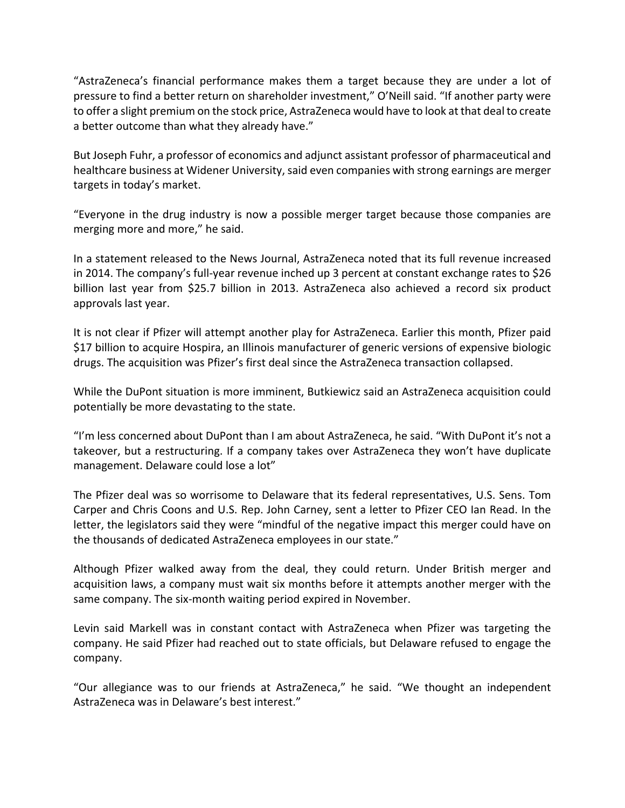"AstraZeneca's financial performance makes them a target because they are under a lot of pressure to find a better return on shareholder investment," O'Neill said. "If another party were to offer a slight premium on the stock price, AstraZeneca would have to look at that deal to create a better outcome than what they already have."

But Joseph Fuhr, a professor of economics and adjunct assistant professor of pharmaceutical and healthcare business at Widener University, said even companies with strong earnings are merger targets in today's market.

"Everyone in the drug industry is now a possible merger target because those companies are merging more and more," he said.

In a statement released to the News Journal, AstraZeneca noted that its full revenue increased in 2014. The company's full‐year revenue inched up 3 percent at constant exchange rates to \$26 billion last year from \$25.7 billion in 2013. AstraZeneca also achieved a record six product approvals last year.

It is not clear if Pfizer will attempt another play for AstraZeneca. Earlier this month, Pfizer paid \$17 billion to acquire Hospira, an Illinois manufacturer of generic versions of expensive biologic drugs. The acquisition was Pfizer's first deal since the AstraZeneca transaction collapsed.

While the DuPont situation is more imminent, Butkiewicz said an AstraZeneca acquisition could potentially be more devastating to the state.

"I'm less concerned about DuPont than I am about AstraZeneca, he said. "With DuPont it's not a takeover, but a restructuring. If a company takes over AstraZeneca they won't have duplicate management. Delaware could lose a lot"

The Pfizer deal was so worrisome to Delaware that its federal representatives, U.S. Sens. Tom Carper and Chris Coons and U.S. Rep. John Carney, sent a letter to Pfizer CEO Ian Read. In the letter, the legislators said they were "mindful of the negative impact this merger could have on the thousands of dedicated AstraZeneca employees in our state."

Although Pfizer walked away from the deal, they could return. Under British merger and acquisition laws, a company must wait six months before it attempts another merger with the same company. The six-month waiting period expired in November.

Levin said Markell was in constant contact with AstraZeneca when Pfizer was targeting the company. He said Pfizer had reached out to state officials, but Delaware refused to engage the company.

"Our allegiance was to our friends at AstraZeneca," he said. "We thought an independent AstraZeneca was in Delaware's best interest."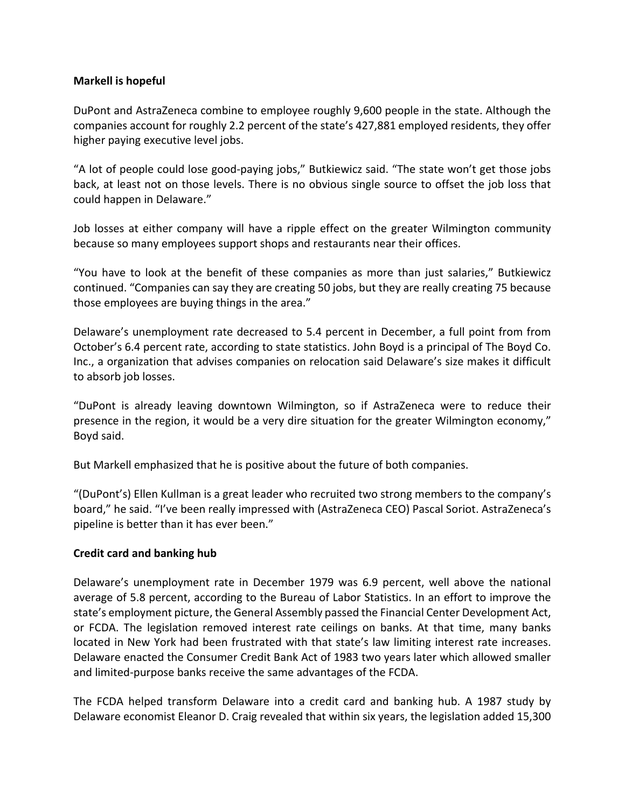## **Markell is hopeful**

DuPont and AstraZeneca combine to employee roughly 9,600 people in the state. Although the companies account for roughly 2.2 percent of the state's 427,881 employed residents, they offer higher paying executive level jobs.

"A lot of people could lose good‐paying jobs," Butkiewicz said. "The state won't get those jobs back, at least not on those levels. There is no obvious single source to offset the job loss that could happen in Delaware."

Job losses at either company will have a ripple effect on the greater Wilmington community because so many employees support shops and restaurants near their offices.

"You have to look at the benefit of these companies as more than just salaries," Butkiewicz continued. "Companies can say they are creating 50 jobs, but they are really creating 75 because those employees are buying things in the area."

Delaware's unemployment rate decreased to 5.4 percent in December, a full point from from October's 6.4 percent rate, according to state statistics. John Boyd is a principal of The Boyd Co. Inc., a organization that advises companies on relocation said Delaware's size makes it difficult to absorb job losses.

"DuPont is already leaving downtown Wilmington, so if AstraZeneca were to reduce their presence in the region, it would be a very dire situation for the greater Wilmington economy," Boyd said.

But Markell emphasized that he is positive about the future of both companies.

"(DuPont's) Ellen Kullman is a great leader who recruited two strong members to the company's board," he said. "I've been really impressed with (AstraZeneca CEO) Pascal Soriot. AstraZeneca's pipeline is better than it has ever been."

## **Credit card and banking hub**

Delaware's unemployment rate in December 1979 was 6.9 percent, well above the national average of 5.8 percent, according to the Bureau of Labor Statistics. In an effort to improve the state's employment picture, the General Assembly passed the Financial Center Development Act, or FCDA. The legislation removed interest rate ceilings on banks. At that time, many banks located in New York had been frustrated with that state's law limiting interest rate increases. Delaware enacted the Consumer Credit Bank Act of 1983 two years later which allowed smaller and limited‐purpose banks receive the same advantages of the FCDA.

The FCDA helped transform Delaware into a credit card and banking hub. A 1987 study by Delaware economist Eleanor D. Craig revealed that within six years, the legislation added 15,300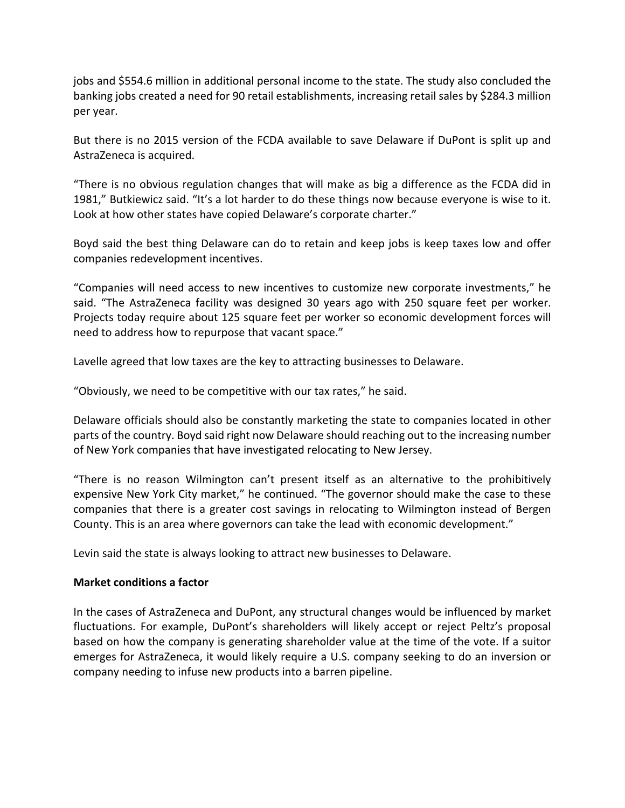jobs and \$554.6 million in additional personal income to the state. The study also concluded the banking jobs created a need for 90 retail establishments, increasing retail sales by \$284.3 million per year.

But there is no 2015 version of the FCDA available to save Delaware if DuPont is split up and AstraZeneca is acquired.

"There is no obvious regulation changes that will make as big a difference as the FCDA did in 1981," Butkiewicz said. "It's a lot harder to do these things now because everyone is wise to it. Look at how other states have copied Delaware's corporate charter."

Boyd said the best thing Delaware can do to retain and keep jobs is keep taxes low and offer companies redevelopment incentives.

"Companies will need access to new incentives to customize new corporate investments," he said. "The AstraZeneca facility was designed 30 years ago with 250 square feet per worker. Projects today require about 125 square feet per worker so economic development forces will need to address how to repurpose that vacant space."

Lavelle agreed that low taxes are the key to attracting businesses to Delaware.

"Obviously, we need to be competitive with our tax rates," he said.

Delaware officials should also be constantly marketing the state to companies located in other parts of the country. Boyd said right now Delaware should reaching out to the increasing number of New York companies that have investigated relocating to New Jersey.

"There is no reason Wilmington can't present itself as an alternative to the prohibitively expensive New York City market," he continued. "The governor should make the case to these companies that there is a greater cost savings in relocating to Wilmington instead of Bergen County. This is an area where governors can take the lead with economic development."

Levin said the state is always looking to attract new businesses to Delaware.

## **Market conditions a factor**

In the cases of AstraZeneca and DuPont, any structural changes would be influenced by market fluctuations. For example, DuPont's shareholders will likely accept or reject Peltz's proposal based on how the company is generating shareholder value at the time of the vote. If a suitor emerges for AstraZeneca, it would likely require a U.S. company seeking to do an inversion or company needing to infuse new products into a barren pipeline.